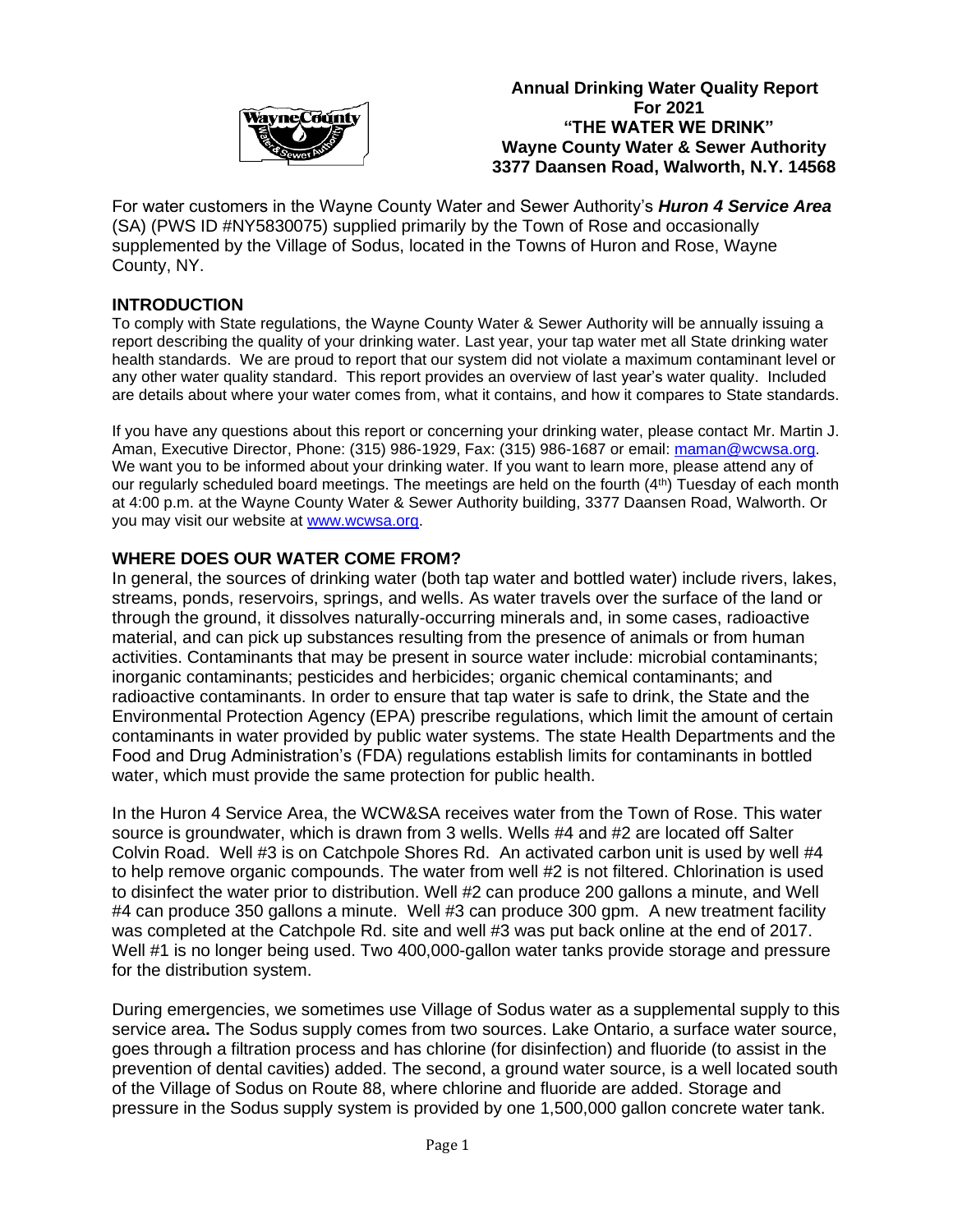

 **Annual Drinking Water Quality Report** *For* **2021 "THE WATER WE DRINK" Wayne County Water & Sewer Authority 3377 Daansen Road, Walworth, N.Y. 14568**

For water customers in the Wayne County Water and Sewer Authority's *Huron 4 Service Area*  (SA) (PWS ID #NY5830075) supplied primarily by the Town of Rose and occasionally supplemented by the Village of Sodus, located in the Towns of Huron and Rose, Wayne County, NY.

### **INTRODUCTION**

To comply with State regulations, the Wayne County Water & Sewer Authority will be annually issuing a report describing the quality of your drinking water. Last year, your tap water met all State drinking water health standards. We are proud to report that our system did not violate a maximum contaminant level or any other water quality standard. This report provides an overview of last year's water quality. Included are details about where your water comes from, what it contains, and how it compares to State standards.

If you have any questions about this report or concerning your drinking water, please contact Mr. Martin J. Aman, Executive Director, Phone: (315) 986-1929, Fax: (315) 986-1687 or email: [maman@wcwsa.org.](mailto:maman@wcwsa.org) We want you to be informed about your drinking water. If you want to learn more, please attend any of our regularly scheduled board meetings. The meetings are held on the fourth (4th) Tuesday of each month at 4:00 p.m. at the Wayne County Water & Sewer Authority building, 3377 Daansen Road, Walworth. Or you may visit our website at [www.wcwsa.org.](http://www.wcwsa.org/) 

### **WHERE DOES OUR WATER COME FROM?**

In general, the sources of drinking water (both tap water and bottled water) include rivers, lakes, streams, ponds, reservoirs, springs, and wells. As water travels over the surface of the land or through the ground, it dissolves naturally-occurring minerals and, in some cases, radioactive material, and can pick up substances resulting from the presence of animals or from human activities. Contaminants that may be present in source water include: microbial contaminants; inorganic contaminants; pesticides and herbicides; organic chemical contaminants; and radioactive contaminants. In order to ensure that tap water is safe to drink, the State and the Environmental Protection Agency (EPA) prescribe regulations, which limit the amount of certain contaminants in water provided by public water systems. The state Health Departments and the Food and Drug Administration's (FDA) regulations establish limits for contaminants in bottled water, which must provide the same protection for public health.

In the Huron 4 Service Area, the WCW&SA receives water from the Town of Rose. This water source is groundwater, which is drawn from 3 wells. Wells #4 and #2 are located off Salter Colvin Road. Well #3 is on Catchpole Shores Rd. An activated carbon unit is used by well #4 to help remove organic compounds. The water from well #2 is not filtered. Chlorination is used to disinfect the water prior to distribution. Well #2 can produce 200 gallons a minute, and Well #4 can produce 350 gallons a minute. Well #3 can produce 300 gpm. A new treatment facility was completed at the Catchpole Rd. site and well #3 was put back online at the end of 2017. Well #1 is no longer being used. Two 400,000-gallon water tanks provide storage and pressure for the distribution system.

During emergencies, we sometimes use Village of Sodus water as a supplemental supply to this service area**.** The Sodus supply comes from two sources. Lake Ontario, a surface water source, goes through a filtration process and has chlorine (for disinfection) and fluoride (to assist in the prevention of dental cavities) added. The second, a ground water source, is a well located south of the Village of Sodus on Route 88, where chlorine and fluoride are added. Storage and pressure in the Sodus supply system is provided by one 1,500,000 gallon concrete water tank.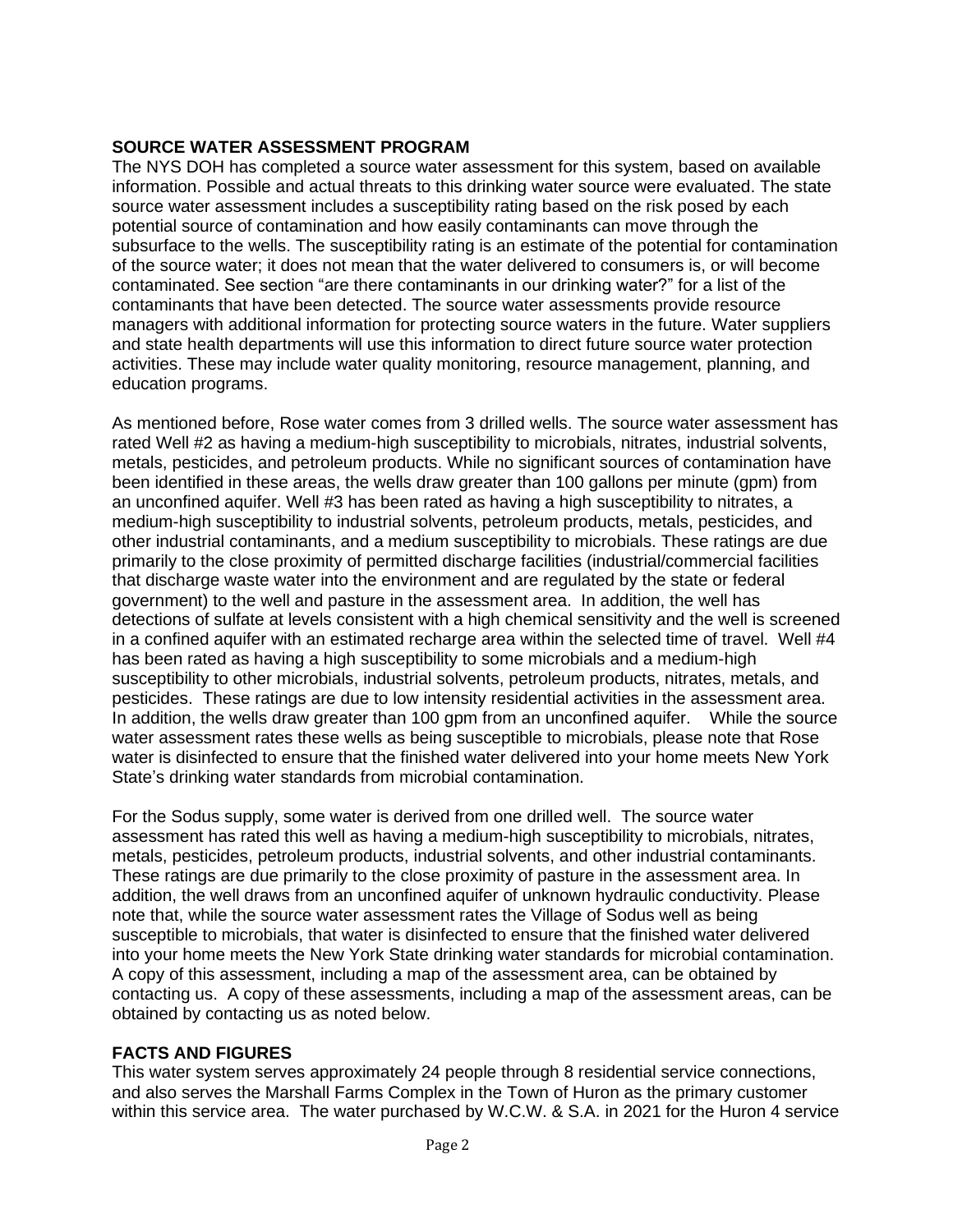## **SOURCE WATER ASSESSMENT PROGRAM**

The NYS DOH has completed a source water assessment for this system, based on available information. Possible and actual threats to this drinking water source were evaluated. The state source water assessment includes a susceptibility rating based on the risk posed by each potential source of contamination and how easily contaminants can move through the subsurface to the wells. The susceptibility rating is an estimate of the potential for contamination of the source water; it does not mean that the water delivered to consumers is, or will become contaminated. See section "are there contaminants in our drinking water?" for a list of the contaminants that have been detected. The source water assessments provide resource managers with additional information for protecting source waters in the future. Water suppliers and state health departments will use this information to direct future source water protection activities. These may include water quality monitoring, resource management, planning, and education programs.

As mentioned before, Rose water comes from 3 drilled wells. The source water assessment has rated Well #2 as having a medium-high susceptibility to microbials, nitrates, industrial solvents, metals, pesticides, and petroleum products. While no significant sources of contamination have been identified in these areas, the wells draw greater than 100 gallons per minute (gpm) from an unconfined aquifer. Well #3 has been rated as having a high susceptibility to nitrates, a medium-high susceptibility to industrial solvents, petroleum products, metals, pesticides, and other industrial contaminants, and a medium susceptibility to microbials. These ratings are due primarily to the close proximity of permitted discharge facilities (industrial/commercial facilities that discharge waste water into the environment and are regulated by the state or federal government) to the well and pasture in the assessment area. In addition, the well has detections of sulfate at levels consistent with a high chemical sensitivity and the well is screened in a confined aquifer with an estimated recharge area within the selected time of travel. Well #4 has been rated as having a high susceptibility to some microbials and a medium-high susceptibility to other microbials, industrial solvents, petroleum products, nitrates, metals, and pesticides. These ratings are due to low intensity residential activities in the assessment area. In addition, the wells draw greater than 100 gpm from an unconfined aquifer. While the source water assessment rates these wells as being susceptible to microbials, please note that Rose water is disinfected to ensure that the finished water delivered into your home meets New York State's drinking water standards from microbial contamination.

For the Sodus supply, some water is derived from one drilled well. The source water assessment has rated this well as having a medium-high susceptibility to microbials, nitrates, metals, pesticides, petroleum products, industrial solvents, and other industrial contaminants. These ratings are due primarily to the close proximity of pasture in the assessment area. In addition, the well draws from an unconfined aquifer of unknown hydraulic conductivity. Please note that, while the source water assessment rates the Village of Sodus well as being susceptible to microbials, that water is disinfected to ensure that the finished water delivered into your home meets the New York State drinking water standards for microbial contamination. A copy of this assessment, including a map of the assessment area, can be obtained by contacting us. A copy of these assessments, including a map of the assessment areas, can be obtained by contacting us as noted below.

## **FACTS AND FIGURES**

This water system serves approximately 24 people through 8 residential service connections, and also serves the Marshall Farms Complex in the Town of Huron as the primary customer within this service area. The water purchased by W.C.W. & S.A. in 2021 for the Huron 4 service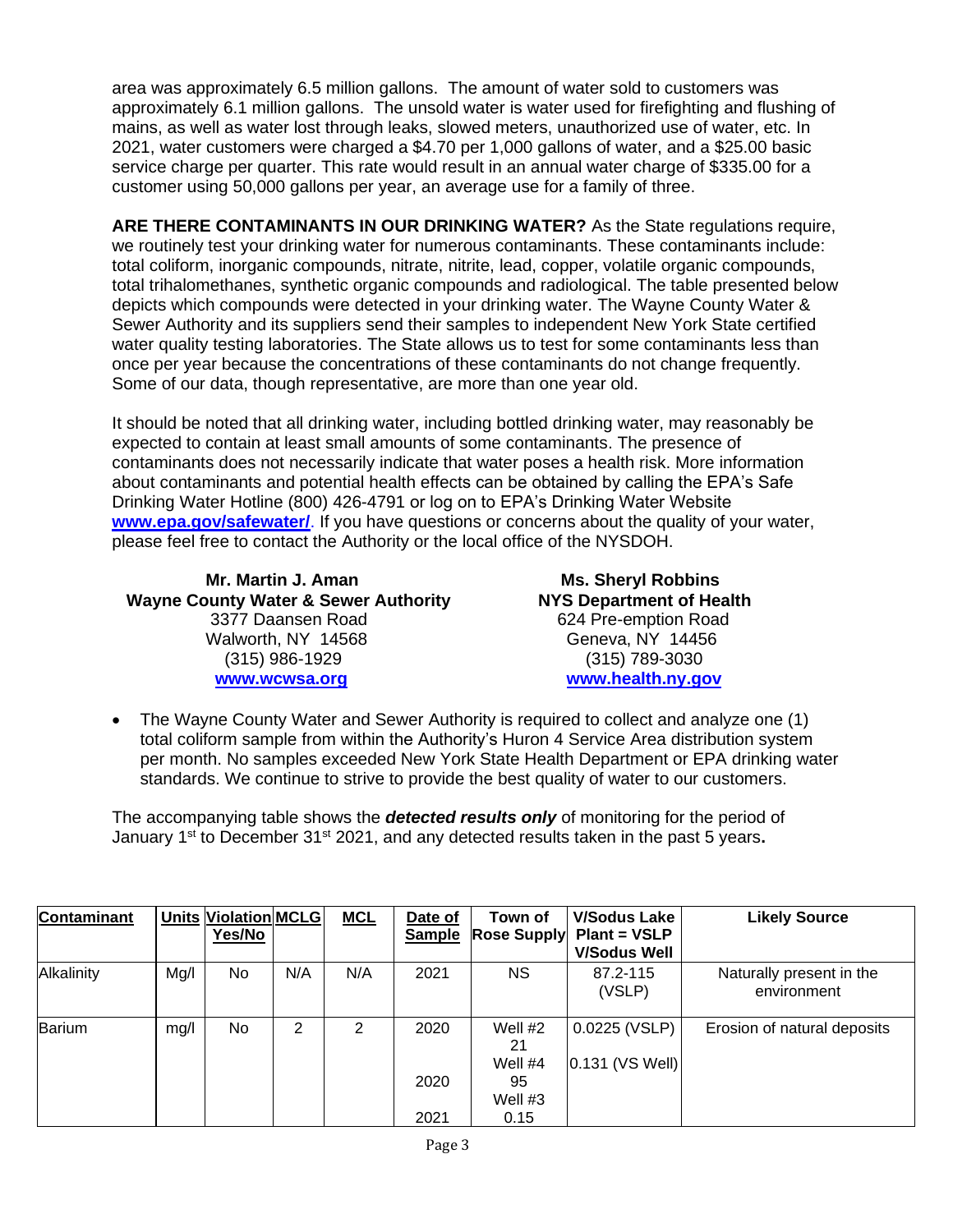area was approximately 6.5 million gallons. The amount of water sold to customers was approximately 6.1 million gallons. The unsold water is water used for firefighting and flushing of mains, as well as water lost through leaks, slowed meters, unauthorized use of water, etc. In 2021, water customers were charged a \$4.70 per 1,000 gallons of water, and a \$25.00 basic service charge per quarter. This rate would result in an annual water charge of \$335.00 for a customer using 50,000 gallons per year, an average use for a family of three.

**ARE THERE CONTAMINANTS IN OUR DRINKING WATER?** As the State regulations require, we routinely test your drinking water for numerous contaminants. These contaminants include: total coliform, inorganic compounds, nitrate, nitrite, lead, copper, volatile organic compounds, total trihalomethanes, synthetic organic compounds and radiological. The table presented below depicts which compounds were detected in your drinking water. The Wayne County Water & Sewer Authority and its suppliers send their samples to independent New York State certified water quality testing laboratories. The State allows us to test for some contaminants less than once per year because the concentrations of these contaminants do not change frequently. Some of our data, though representative, are more than one year old.

It should be noted that all drinking water, including bottled drinking water, may reasonably be expected to contain at least small amounts of some contaminants. The presence of contaminants does not necessarily indicate that water poses a health risk. More information about contaminants and potential health effects can be obtained by calling the EPA's Safe Drinking Water Hotline (800) 426-4791 or log on to EPA's Drinking Water Website **[www.epa.gov/safewater/](http://www.epa.gov/safewater/)**. If you have questions or concerns about the quality of your water, please feel free to contact the Authority or the local office of the NYSDOH.

 **Mr. Martin J. Aman Ms. Sheryl Robbins Wayne County Water & Sewer Authority NYS Department of Health** 3377 Daansen Road 624 Pre-emption Road Walworth, NY 14568 Geneva, NY 14456 (315) 986-1929 (315) 789-3030  **[www.wcwsa.](http://www.wcwsa/)org [www.health.ny.gov](http://www.health.state.ny.us/)**

• The Wayne County Water and Sewer Authority is required to collect and analyze one (1) total coliform sample from within the Authority's Huron 4 Service Area distribution system per month. No samples exceeded New York State Health Department or EPA drinking water standards. We continue to strive to provide the best quality of water to our customers.

The accompanying table shows the *detected results only* of monitoring for the period of January 1<sup>st</sup> to December 31<sup>st</sup> 2021, and any detected results taken in the past 5 years.

| Contaminant |      | <b>Units Violation MCLG</b><br>Yes/No |     | <b>MCL</b> | Date of<br><b>Sample</b> | Town of<br><b>Rose Supply</b> | <b>V/Sodus Lake</b><br>Plant = VSLP | <b>Likely Source</b>                    |
|-------------|------|---------------------------------------|-----|------------|--------------------------|-------------------------------|-------------------------------------|-----------------------------------------|
|             |      |                                       |     |            |                          |                               | <b>V/Sodus Well</b>                 |                                         |
| Alkalinity  | Mg/I | No.                                   | N/A | N/A        | 2021                     | <b>NS</b>                     | 87.2-115<br>(VSLP)                  | Naturally present in the<br>environment |
| Barium      | mg/l | No.                                   | 2   | 2          | 2020                     | Well #2<br>21                 | 0.0225 (VSLP)                       | Erosion of natural deposits             |
|             |      |                                       |     |            | 2020                     | Well #4<br>95<br>Well $#3$    | $0.131$ (VS Well)                   |                                         |
|             |      |                                       |     |            | 2021                     | 0.15                          |                                     |                                         |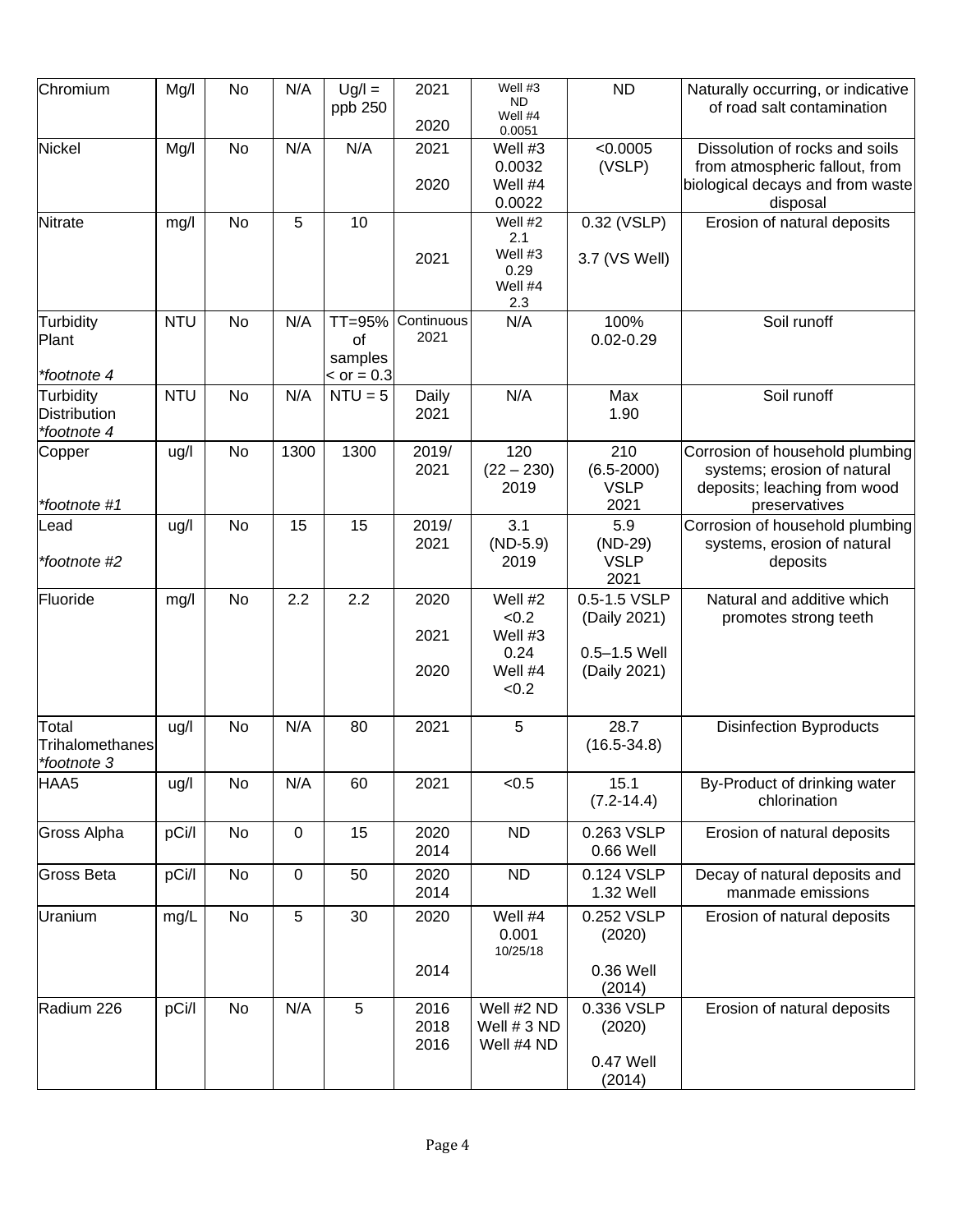| Chromium                                        | Mg/I       | No        | N/A         | $Ug/I =$<br>ppb 250                     | 2021<br>2020         | Well #3<br>ND.<br>Well #4<br>0.0051                     | <b>ND</b>                                                        | Naturally occurring, or indicative<br>of road salt contamination                                                 |
|-------------------------------------------------|------------|-----------|-------------|-----------------------------------------|----------------------|---------------------------------------------------------|------------------------------------------------------------------|------------------------------------------------------------------------------------------------------------------|
| Nickel                                          | Mg/l       | <b>No</b> | N/A         | N/A                                     | 2021<br>2020         | Well #3<br>0.0032<br>Well #4<br>0.0022                  | < 0.0005<br>(VSLP)                                               | Dissolution of rocks and soils<br>from atmospheric fallout, from<br>biological decays and from waste<br>disposal |
| Nitrate                                         | mg/l       | <b>No</b> | 5           | 10                                      | 2021                 | Well #2<br>2.1<br>Well #3<br>0.29<br>Well #4<br>2.3     | 0.32 (VSLP)<br>3.7 (VS Well)                                     | Erosion of natural deposits                                                                                      |
| Turbidity<br>Plant<br>*footnote 4               | <b>NTU</b> | <b>No</b> | N/A         | TT=95%<br>of<br>samples<br>$>$ or = 0.3 | Continuous<br>2021   | N/A                                                     | 100%<br>$0.02 - 0.29$                                            | Soil runoff                                                                                                      |
| Turbidity<br><b>Distribution</b><br>*footnote 4 | <b>NTU</b> | No        | N/A         | $NTU = 5$                               | Daily<br>2021        | N/A                                                     | Max<br>1.90                                                      | Soil runoff                                                                                                      |
| Copper<br>*footnote #1                          | ug/l       | <b>No</b> | 1300        | 1300                                    | 2019/<br>2021        | 120<br>$(22 - 230)$<br>2019                             | 210<br>$(6.5 - 2000)$<br><b>VSLP</b><br>2021                     | Corrosion of household plumbing<br>systems; erosion of natural<br>deposits; leaching from wood<br>preservatives  |
| Lead<br>*footnote #2                            | ug/l       | <b>No</b> | 15          | 15                                      | 2019/<br>2021        | 3.1<br>$(ND-5.9)$<br>2019                               | 5.9<br>$(ND-29)$<br><b>VSLP</b><br>2021                          | Corrosion of household plumbing<br>systems, erosion of natural<br>deposits                                       |
| Fluoride                                        | mg/l       | No        | 2.2         | 2.2                                     | 2020<br>2021<br>2020 | Well #2<br>< 0.2<br>Well #3<br>0.24<br>Well #4<br>< 0.2 | 0.5-1.5 VSLP<br>(Daily 2021)<br>$0.5 - 1.5$ Well<br>(Daily 2021) | Natural and additive which<br>promotes strong teeth                                                              |
| Total<br>Trihalomethanes<br>*footnote 3         | ug/l       | No        | N/A         | 80                                      | 2021                 | 5                                                       | 28.7<br>$(16.5 - 34.8)$                                          | <b>Disinfection Byproducts</b>                                                                                   |
| HAA5                                            | ug/l       | No        | N/A         | 60                                      | 2021                 | < 0.5                                                   | 15.1<br>$(7.2 - 14.4)$                                           | By-Product of drinking water<br>chlorination                                                                     |
| <b>Gross Alpha</b>                              | pCi/l      | No        | $\mathbf 0$ | 15                                      | 2020<br>2014         | <b>ND</b>                                               | 0.263 VSLP<br>0.66 Well                                          | Erosion of natural deposits                                                                                      |
| <b>Gross Beta</b>                               | pCi/l      | No        | $\mathbf 0$ | 50                                      | 2020<br>2014         | <b>ND</b>                                               | 0.124 VSLP<br>1.32 Well                                          | Decay of natural deposits and<br>manmade emissions                                                               |
| Uranium                                         | mg/L       | <b>No</b> | 5           | 30                                      | 2020<br>2014         | Well #4<br>0.001<br>10/25/18                            | 0.252 VSLP<br>(2020)<br>0.36 Well<br>(2014)                      | Erosion of natural deposits                                                                                      |
| Radium 226                                      | pCi/l      | No        | N/A         | $\overline{5}$                          | 2016<br>2018<br>2016 | Well #2 ND<br>Well # 3 ND<br>Well #4 ND                 | 0.336 VSLP<br>(2020)<br>0.47 Well<br>(2014)                      | Erosion of natural deposits                                                                                      |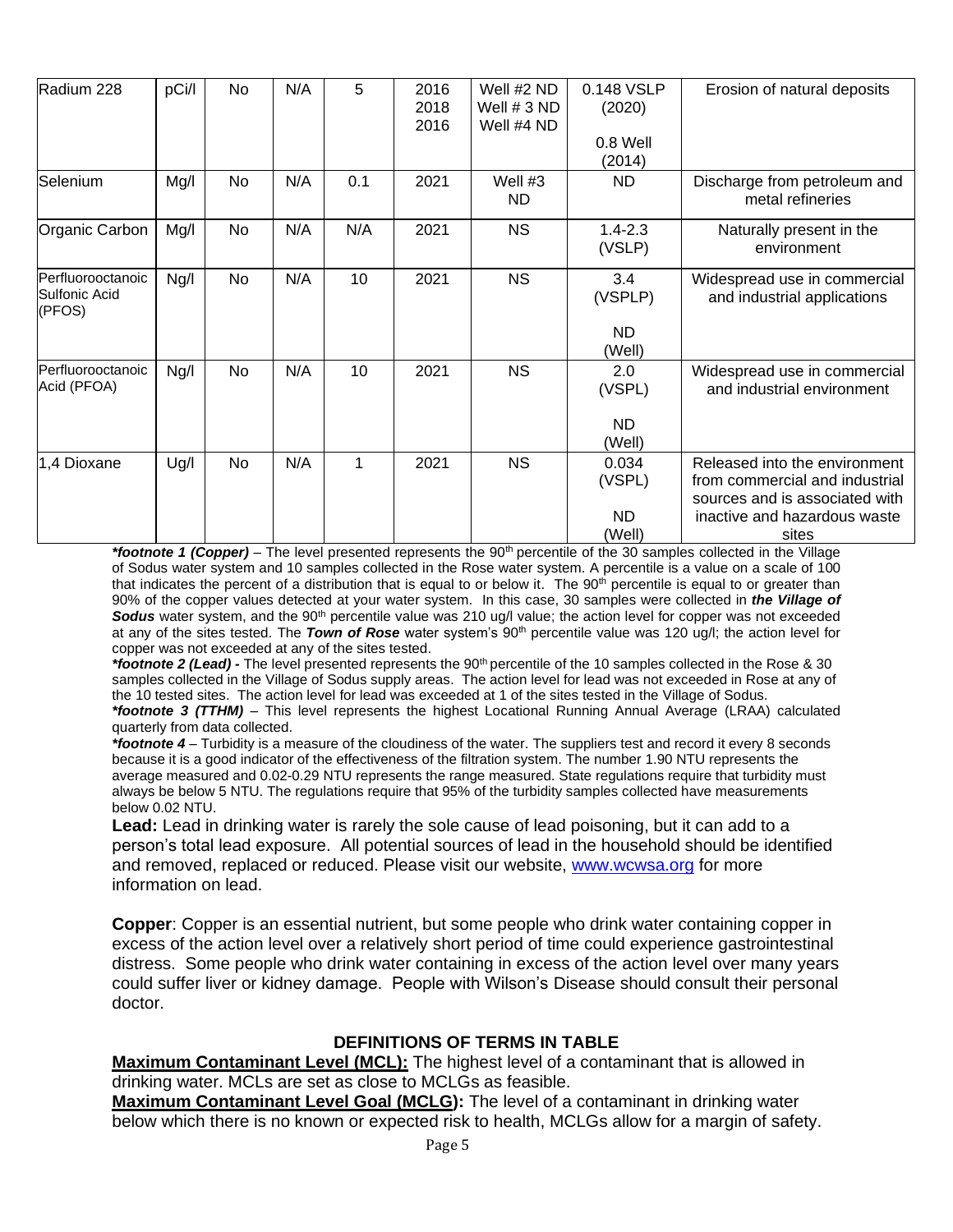| Radium 228                                          | pCi/l | No | N/A | 5   | 2016<br>2018<br>2016 | Well #2 ND<br>Well $# 3 ND$<br>Well #4 ND | 0.148 VSLP<br>(2020)  | Erosion of natural deposits                                                                       |
|-----------------------------------------------------|-------|----|-----|-----|----------------------|-------------------------------------------|-----------------------|---------------------------------------------------------------------------------------------------|
|                                                     |       |    |     |     |                      |                                           | 0.8 Well<br>(2014)    |                                                                                                   |
| Selenium                                            | Mg/I  | No | N/A | 0.1 | 2021                 | Well #3<br><b>ND</b>                      | <b>ND</b>             | Discharge from petroleum and<br>metal refineries                                                  |
| Organic Carbon                                      | Mg/I  | No | N/A | N/A | 2021                 | <b>NS</b>                                 | $1.4 - 2.3$<br>(VSLP) | Naturally present in the<br>environment                                                           |
| Perfluorooctanoic<br><b>Sulfonic Acid</b><br>(PFOS) | Ng/I  | No | N/A | 10  | 2021                 | <b>NS</b>                                 | 3.4<br>(VSPLP)        | Widespread use in commercial<br>and industrial applications                                       |
|                                                     |       |    |     |     |                      |                                           | ND.<br>(Well)         |                                                                                                   |
| <b>IPerfluorooctanoic</b><br>Acid (PFOA)            | Ng/l  | No | N/A | 10  | 2021                 | <b>NS</b>                                 | 2.0<br>(VSPL)         | Widespread use in commercial<br>and industrial environment                                        |
|                                                     |       |    |     |     |                      |                                           | <b>ND</b><br>(Well)   |                                                                                                   |
| 1,4 Dioxane                                         | Ug/l  | No | N/A | 1   | 2021                 | <b>NS</b>                                 | 0.034<br>(VSPL)       | Released into the environment<br>from commercial and industrial<br>sources and is associated with |
|                                                     |       |    |     |     |                      |                                           | ND.<br>(Well)         | inactive and hazardous waste<br>sites                                                             |

\*footnote 1 (Copper) – The level presented represents the 90<sup>th</sup> percentile of the 30 samples collected in the Village of Sodus water system and 10 samples collected in the Rose water system. A percentile is a value on a scale of 100 that indicates the percent of a distribution that is equal to or below it. The  $90<sup>th</sup>$  percentile is equal to or greater than 90% of the copper values detected at your water system. In this case, 30 samples were collected in *the Village of*  **Sodus** water system, and the 90<sup>th</sup> percentile value was 210 ug/l value; the action level for copper was not exceeded at any of the sites tested. The *Town of Rose* water system's 90<sup>th</sup> percentile value was 120 ug/l; the action level for copper was not exceeded at any of the sites tested.

*\*footnote 2 (Lead) -* The level presented represents the 90th percentile of the 10 samples collected in the Rose & 30 samples collected in the Village of Sodus supply areas. The action level for lead was not exceeded in Rose at any of the 10 tested sites. The action level for lead was exceeded at 1 of the sites tested in the Village of Sodus.

*\*footnote 3 (TTHM)* – This level represents the highest Locational Running Annual Average (LRAA) calculated quarterly from data collected.

*\*footnote 4* – Turbidity is a measure of the cloudiness of the water. The suppliers test and record it every 8 seconds because it is a good indicator of the effectiveness of the filtration system. The number 1.90 NTU represents the average measured and 0.02-0.29 NTU represents the range measured. State regulations require that turbidity must always be below 5 NTU. The regulations require that 95% of the turbidity samples collected have measurements below 0.02 NTU.

**Lead:** Lead in drinking water is rarely the sole cause of lead poisoning, but it can add to a person's total lead exposure. All potential sources of lead in the household should be identified and removed, replaced or reduced. Please visit our website, [www.wcwsa.org](http://www.wcwsa.org/) for more information on lead.

**Copper**: Copper is an essential nutrient, but some people who drink water containing copper in excess of the action level over a relatively short period of time could experience gastrointestinal distress. Some people who drink water containing in excess of the action level over many years could suffer liver or kidney damage. People with Wilson's Disease should consult their personal doctor.

### **DEFINITIONS OF TERMS IN TABLE**

**Maximum Contaminant Level (MCL):** The highest level of a contaminant that is allowed in drinking water. MCLs are set as close to MCLGs as feasible.

**Maximum Contaminant Level Goal (MCLG):** The level of a contaminant in drinking water below which there is no known or expected risk to health, MCLGs allow for a margin of safety.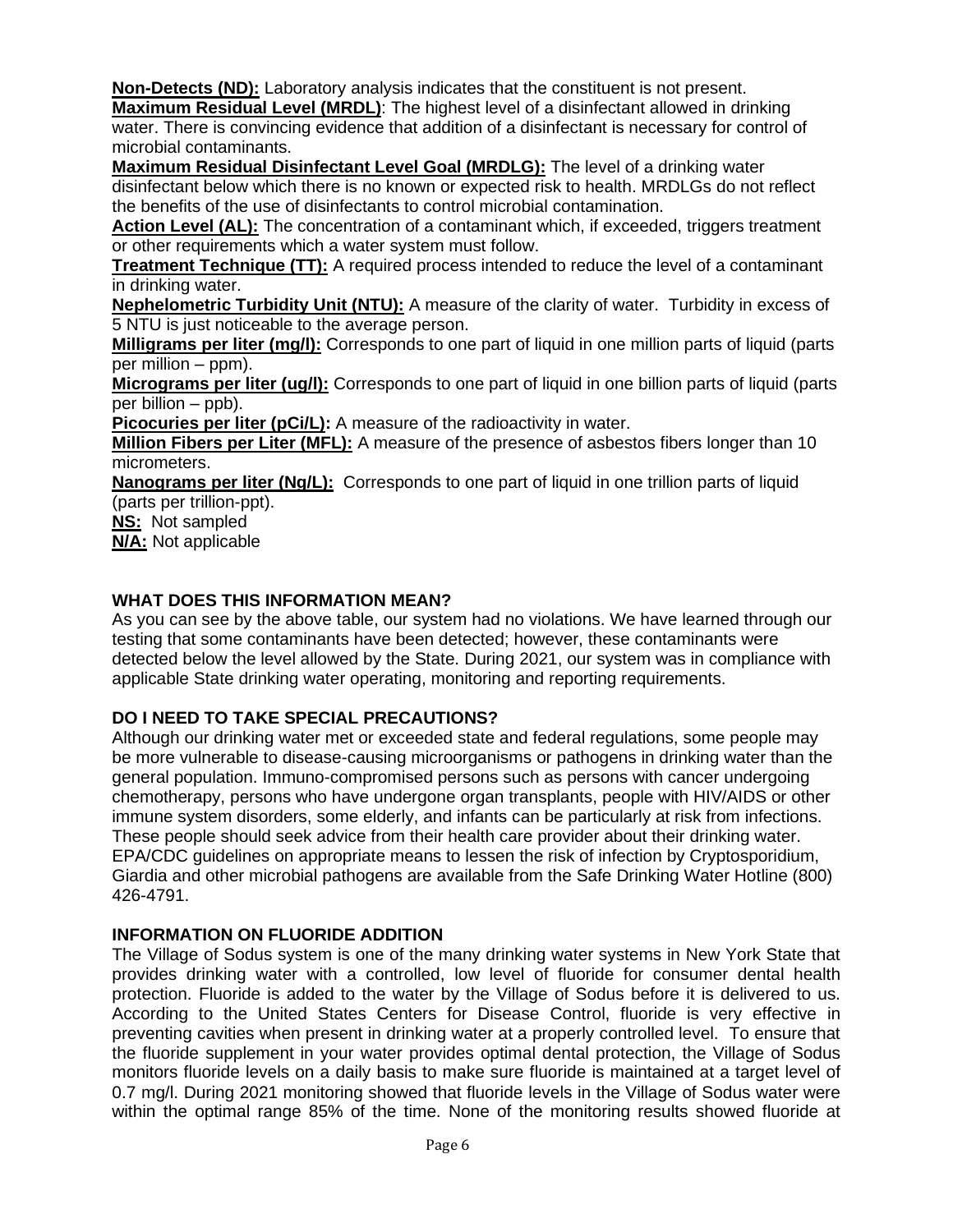**Non-Detects (ND):** Laboratory analysis indicates that the constituent is not present. **Maximum Residual Level (MRDL)**: The highest level of a disinfectant allowed in drinking

water. There is convincing evidence that addition of a disinfectant is necessary for control of microbial contaminants.

**Maximum Residual Disinfectant Level Goal (MRDLG):** The level of a drinking water disinfectant below which there is no known or expected risk to health. MRDLGs do not reflect the benefits of the use of disinfectants to control microbial contamination.

**Action Level (AL):** The concentration of a contaminant which, if exceeded, triggers treatment or other requirements which a water system must follow.

**Treatment Technique (TT):** A required process intended to reduce the level of a contaminant in drinking water.

**Nephelometric Turbidity Unit (NTU):** A measure of the clarity of water. Turbidity in excess of 5 NTU is just noticeable to the average person.

**Milligrams per liter (mg/l):** Corresponds to one part of liquid in one million parts of liquid (parts per million – ppm).

**Micrograms per liter (ug/l):** Corresponds to one part of liquid in one billion parts of liquid (parts per billion – ppb).

**Picocuries per liter (pCi/L):** A measure of the radioactivity in water.

**Million Fibers per Liter (MFL):** A measure of the presence of asbestos fibers longer than 10 micrometers.

**Nanograms per liter (Ng/L):** Corresponds to one part of liquid in one trillion parts of liquid (parts per trillion-ppt).

**NS:** Not sampled

**N/A:** Not applicable

### **WHAT DOES THIS INFORMATION MEAN?**

As you can see by the above table, our system had no violations. We have learned through our testing that some contaminants have been detected; however, these contaminants were detected below the level allowed by the State. During 2021, our system was in compliance with applicable State drinking water operating, monitoring and reporting requirements.

## **DO I NEED TO TAKE SPECIAL PRECAUTIONS?**

Although our drinking water met or exceeded state and federal regulations, some people may be more vulnerable to disease-causing microorganisms or pathogens in drinking water than the general population. Immuno-compromised persons such as persons with cancer undergoing chemotherapy, persons who have undergone organ transplants, people with HIV/AIDS or other immune system disorders, some elderly, and infants can be particularly at risk from infections. These people should seek advice from their health care provider about their drinking water. EPA/CDC guidelines on appropriate means to lessen the risk of infection by Cryptosporidium, Giardia and other microbial pathogens are available from the Safe Drinking Water Hotline (800) 426-4791.

### **INFORMATION ON FLUORIDE ADDITION**

The Village of Sodus system is one of the many drinking water systems in New York State that provides drinking water with a controlled, low level of fluoride for consumer dental health protection. Fluoride is added to the water by the Village of Sodus before it is delivered to us. According to the United States Centers for Disease Control, fluoride is very effective in preventing cavities when present in drinking water at a properly controlled level. To ensure that the fluoride supplement in your water provides optimal dental protection, the Village of Sodus monitors fluoride levels on a daily basis to make sure fluoride is maintained at a target level of 0.7 mg/l. During 2021 monitoring showed that fluoride levels in the Village of Sodus water were within the optimal range 85% of the time. None of the monitoring results showed fluoride at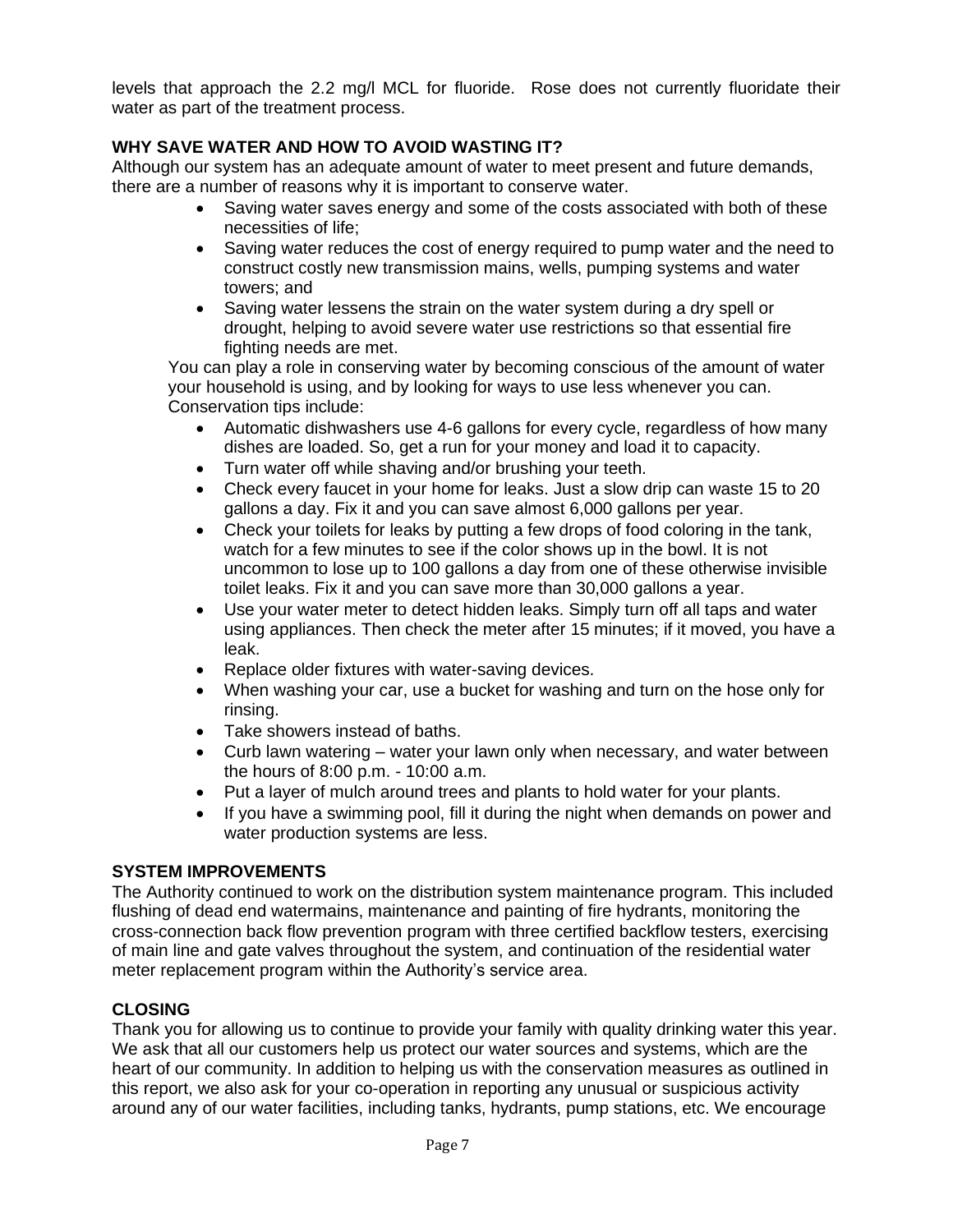levels that approach the 2.2 mg/l MCL for fluoride. Rose does not currently fluoridate their water as part of the treatment process.

# **WHY SAVE WATER AND HOW TO AVOID WASTING IT?**

Although our system has an adequate amount of water to meet present and future demands, there are a number of reasons why it is important to conserve water.

- Saving water saves energy and some of the costs associated with both of these necessities of life;
- Saving water reduces the cost of energy required to pump water and the need to construct costly new transmission mains, wells, pumping systems and water towers; and
- Saving water lessens the strain on the water system during a dry spell or drought, helping to avoid severe water use restrictions so that essential fire fighting needs are met.

You can play a role in conserving water by becoming conscious of the amount of water your household is using, and by looking for ways to use less whenever you can. Conservation tips include:

- Automatic dishwashers use 4-6 gallons for every cycle, regardless of how many dishes are loaded. So, get a run for your money and load it to capacity.
- Turn water off while shaving and/or brushing your teeth.
- Check every faucet in your home for leaks. Just a slow drip can waste 15 to 20 gallons a day. Fix it and you can save almost 6,000 gallons per year.
- Check your toilets for leaks by putting a few drops of food coloring in the tank, watch for a few minutes to see if the color shows up in the bowl. It is not uncommon to lose up to 100 gallons a day from one of these otherwise invisible toilet leaks. Fix it and you can save more than 30,000 gallons a year.
- Use your water meter to detect hidden leaks. Simply turn off all taps and water using appliances. Then check the meter after 15 minutes; if it moved, you have a leak.
- Replace older fixtures with water-saving devices.
- When washing your car, use a bucket for washing and turn on the hose only for rinsing.
- Take showers instead of baths.
- Curb lawn watering water your lawn only when necessary, and water between the hours of 8:00 p.m. - 10:00 a.m.
- Put a layer of mulch around trees and plants to hold water for your plants.
- If you have a swimming pool, fill it during the night when demands on power and water production systems are less.

### **SYSTEM IMPROVEMENTS**

The Authority continued to work on the distribution system maintenance program. This included flushing of dead end watermains, maintenance and painting of fire hydrants, monitoring the cross-connection back flow prevention program with three certified backflow testers, exercising of main line and gate valves throughout the system, and continuation of the residential water meter replacement program within the Authority's service area.

## **CLOSING**

Thank you for allowing us to continue to provide your family with quality drinking water this year. We ask that all our customers help us protect our water sources and systems, which are the heart of our community. In addition to helping us with the conservation measures as outlined in this report, we also ask for your co-operation in reporting any unusual or suspicious activity around any of our water facilities, including tanks, hydrants, pump stations, etc. We encourage